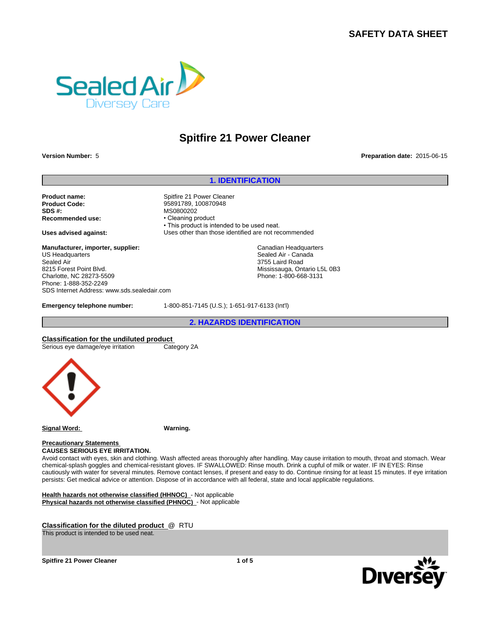# **SAFETY DATA SHEET**



# **Spitfire 21 Power Cleaner**

**Version Number:** 5 **Preparation date:** 2015-06-15

**Product name:** Spitfire 21 Power Cleaner **Product Code:** 95891789, 100870948 **SDS #:**<br> **Recommended use:**<br> **Recommended use:**<br> **Cleaning product Recommended use:** 

**Manufacturer, importer, supplier:** US Headquarters Sealed Air 8215 Forest Point Blvd. Charlotte, NC 28273-5509 Phone: 1-888-352-2249 SDS Internet Address: www.sds.sealedair.com

**1. IDENTIFICATION**<br> **1. IDENTIFICATION**<br> **1. IDENTIFICATION**<br> **1. ICleaner** • This product is intended to be used neat. **Uses advised against:** Uses other than those identified are not recommended **2.** Tomazon and the used neat.<br> **2.** a., 100870948<br>
dold<br>
duct is intended to be used neat.<br>
<br> **2. Candian Headquarters**<br>
Sealed Air - Canada<br>
3755 Laird Road<br>
Mississauga, Ontario L5L 0B3<br>
Phone: 1-800-668-3131<br>
<br> **2. HA** 

Canadian Headquarters Sealed Air - Canada 3755 Laird Road Mississauga, Ontario L5L 0B3 Phone: 1-800-668-3131

**Emergency telephone number:** 1-800-851-7145 (U.S.); 1-651-917-6133 (Int'l)

**Classification for the undiluted product**<br>
Serious eye damage/eye irritation<br>
Category 2A Serious eye damage/eye irritation



**Signal Word: Warning.**

**Precautionary Statements** 

**CAUSES SERIOUS EYE IRRITATION.**

Avoid contact with eyes, skin and clothing. Wash affected areas thoroughly after handling. May cause irritation to mouth, throat and stomach. Wear chemical-splash goggles and chemical-resistant gloves. IF SWALLOWED: Rinse mouth. Drink a cupful of milk or water. IF IN EYES: Rinse cautiously with water for several minutes. Remove contact lenses, if present and easy to do. Continue rinsing for at least 15 minutes. If eye irritation persists: Get medical advice or attention. Dispose of in accordance with all federal, state and local applicable regulations.

**Health hazards not otherwise classified (HHNOC)** - Not applicable **Physical hazards not otherwise classified (PHNOC)** - Not applicable

**Classification for the diluted product** @ RTU

This product is intended to be used neat.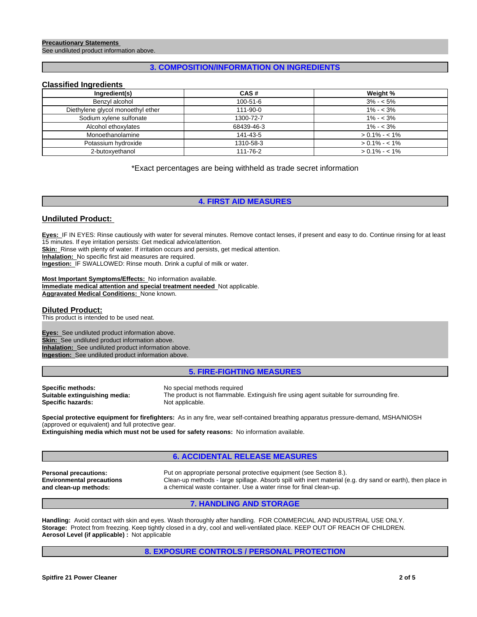### **Precautionary Statements**

See undiluted product information above.

## **3. COMPOSITION/INFORMATION ON INGREDIENTS**

## **Classified Ingredients**

| Ingredient(s)                     | CAS#           | Weight %        |
|-----------------------------------|----------------|-----------------|
| Benzyl alcohol                    | $100 - 51 - 6$ | $3\% - 5\%$     |
| Diethylene glycol monoethyl ether | 111-90-0       | $1\% - 3\%$     |
| Sodium xylene sulfonate           | 1300-72-7      | $1\% - 3\%$     |
| Alcohol ethoxylates               | 68439-46-3     | $1\% - 3\%$     |
| Monoethanolamine                  | 141-43-5       | $> 0.1\% - 1\%$ |
| Potassium hydroxide               | 1310-58-3      | $> 0.1\% - 1\%$ |
| 2-butoxyethanol                   | 111-76-2       | $> 0.1\% - 1\%$ |

## \*Exact percentages are being withheld as trade secret information

## **4. FIRST AID MEASURES**

## **Undiluted Product:**

**Eyes:** IF IN EYES: Rinse cautiously with water for several minutes. Remove contact lenses, if present and easy to do. Continue rinsing for at least 15 minutes. If eye irritation persists: Get medical advice/attention.

**Skin:** Rinse with plenty of water. If irritation occurs and persists, get medical attention.

**Inhalation:** No specific first aid measures are required.

**Ingestion:** IF SWALLOWED: Rinse mouth. Drink a cupful of milk or water.

**Most Important Symptoms/Effects:** No information available. **Immediate medical attention and special treatment needed** Not applicable. **Aggravated Medical Conditions:** None known.

## **Diluted Product:**

This product is intended to be used neat.

**Eyes:** See undiluted product information above. **Skin:** See undiluted product information above. **Inhalation:** See undiluted product information above. **Ingestion:** See undiluted product information above.

## **5. FIRE-FIGHTING MEASURES**

**Specific methods:**<br>**Suitable extinguishing media:** The product is not flammable **Specific hazards:** 

The product is not flammable. Extinguish fire using agent suitable for surrounding fire.<br>Not applicable.

**Special protective equipment for firefighters:** As in any fire, wear self-contained breathing apparatus pressure-demand, MSHA/NIOSH (approved or equivalent) and full protective gear.

**Extinguishing media which must not be used for safety reasons:** No information available.

## **6. ACCIDENTAL RELEASE MEASURES**

**Environmental precautions and clean-up methods:**

**Personal precautions:** Put on appropriate personal protective equipment (see Section 8.). Clean-up methods - large spillage. Absorb spill with inert material (e.g. dry sand or earth), then place in a chemical waste container. Use a water rinse for final clean-up.

## **7. HANDLING AND STORAGE**

**Handling:** Avoid contact with skin and eyes. Wash thoroughly after handling. FOR COMMERCIAL AND INDUSTRIAL USE ONLY. **Storage:** Protect from freezing. Keep tightly closed in a dry, cool and well-ventilated place. KEEP OUT OF REACH OF CHILDREN. **Aerosol Level (if applicable) :** Not applicable

## **8. EXPOSURE CONTROLS / PERSONAL PROTECTION**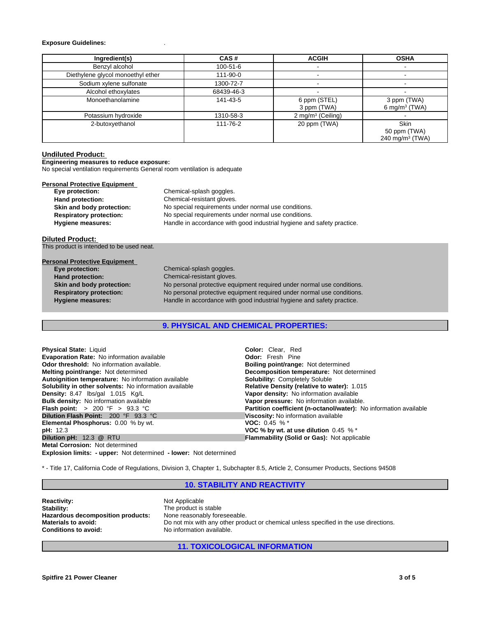## **Exposure Guidelines:** .

| Ingredient(s)                     | CAS#       | <b>ACGIH</b>                | <b>OSHA</b>                                                |
|-----------------------------------|------------|-----------------------------|------------------------------------------------------------|
| Benzyl alcohol                    | 100-51-6   |                             |                                                            |
| Diethylene glycol monoethyl ether | 111-90-0   |                             |                                                            |
| Sodium xylene sulfonate           | 1300-72-7  |                             |                                                            |
| Alcohol ethoxylates               | 68439-46-3 |                             |                                                            |
| Monoethanolamine                  | 141-43-5   | 6 ppm (STEL)<br>3 ppm (TWA) | 3 ppm (TWA)<br>6 mg/m <sup>3</sup> (TWA)                   |
| Potassium hydroxide               | 1310-58-3  | 2 mg/m $3$ (Ceiling)        |                                                            |
| 2-butoxyethanol                   | 111-76-2   | 20 ppm (TWA)                | <b>Skin</b><br>50 ppm (TWA)<br>240 mg/m <sup>3</sup> (TWA) |

## **Undiluted Product:**

**Engineering measures to reduce exposure:**

No special ventilation requirements General room ventilation is adequate

| <b>Personal Protective Equipment</b> |                                                                        |
|--------------------------------------|------------------------------------------------------------------------|
| Eye protection:                      | Chemical-splash goggles.                                               |
| Hand protection:                     | Chemical-resistant gloves.                                             |
| Skin and body protection:            | No special requirements under normal use conditions.                   |
| <b>Respiratory protection:</b>       | No special requirements under normal use conditions.                   |
| <b>Hygiene measures:</b>             | Handle in accordance with good industrial hygiene and safety practice. |

## **Diluted Product:**

This product is intended to be used neat.

| <b>Personal Protective Equipment</b> |  |
|--------------------------------------|--|
|                                      |  |

| Eye protection:                | Chemical-splash goggles.                                               |
|--------------------------------|------------------------------------------------------------------------|
| <b>Hand protection:</b>        | Chemical-resistant gloves.                                             |
| Skin and body protection:      | No personal protective equipment required under normal use conditions. |
| <b>Respiratory protection:</b> | No personal protective equipment required under normal use conditions. |
| <b>Hygiene measures:</b>       | Handle in accordance with good industrial hygiene and safety practice. |
|                                |                                                                        |

## **9. PHYSICAL AND CHEMICAL PROPERTIES:**

| <b>Physical State: Liquid</b>                                            | <b>Color:</b> Clear. Red                                          |
|--------------------------------------------------------------------------|-------------------------------------------------------------------|
| <b>Evaporation Rate:</b> No information available                        | <b>Odor:</b> Fresh Pine                                           |
| <b>Odor threshold:</b> No information available.                         | <b>Boiling point/range: Not determined</b>                        |
| <b>Melting point/range: Not determined</b>                               | Decomposition temperature: Not determined                         |
| Autoignition temperature: No information available                       | <b>Solubility: Completely Soluble</b>                             |
| Solubility in other solvents: No information available                   | <b>Relative Density (relative to water): 1.015</b>                |
| Density: 8.47 lbs/gal 1.015 Kg/L                                         | Vapor density: No information available                           |
| <b>Bulk density:</b> No information available                            | Vapor pressure: No information available.                         |
| <b>Flash point:</b> $> 200 \, \text{°F} > 93.3 \, \text{°C}$             | Partition coefficient (n-octanol/water): No information available |
| <b>Dilution Flash Point: 200 °F 93.3 °C</b>                              | Viscosity: No information available                               |
| <b>Elemental Phosphorus: 0.00 % by wt.</b>                               | <b>VOC:</b> 0.45 % $*$                                            |
| <b>pH:</b> 12.3                                                          | VOC % by wt. at use dilution $0.45\%$                             |
| Dilution pH: 12.3 @ RTU                                                  | <b>Flammability (Solid or Gas): Not applicable</b>                |
| <b>Metal Corrosion: Not determined</b>                                   |                                                                   |
| <b>Explosion limits: - upper:</b> Not determined - lower: Not determined |                                                                   |

\* - Title 17, California Code of Regulations, Division 3, Chapter 1, Subchapter 8.5, Article 2, Consumer Products, Sections 94508

## **10. STABILITY AND REACTIVITY**

| <b>Reactivity:</b>                | Not Applicable                                                                        |
|-----------------------------------|---------------------------------------------------------------------------------------|
| Stability:                        | The product is stable                                                                 |
| Hazardous decomposition products: | None reasonably foreseeable.                                                          |
| <b>Materials to avoid:</b>        | Do not mix with any other product or chemical unless specified in the use directions. |
| <b>Conditions to avoid:</b>       | No information available.                                                             |

**11. TOXICOLOGICAL INFORMATION**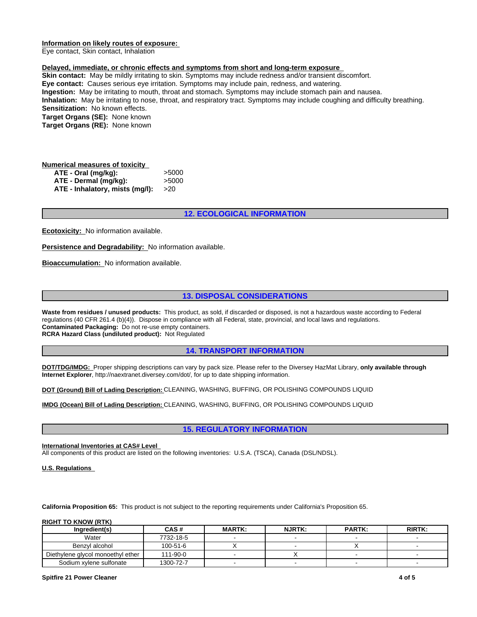## **Information on likely routes of exposure:**

Eye contact, Skin contact, Inhalation

## **Delayed, immediate, or chronic effects and symptoms from short and long-term exposure**

**Skin contact:** May be mildly irritating to skin. Symptoms may include redness and/or transient discomfort. **Eye contact:** Causes serious eye irritation. Symptoms may include pain, redness, and watering. **Ingestion:** May be irritating to mouth, throat and stomach. Symptoms may include stomach pain and nausea. **Inhalation:** May be irritating to nose, throat, and respiratory tract. Symptoms may include coughing and difficulty breathing. **Sensitization:** No known effects. **Target Organs (SE):** None known **Target Organs (RE):** None known and stomach. Symptoms may include stomach pain and nausea.<br>
and respiratory tract. Symptoms may include coughing and difficulty breath<br> **12. ECOLOGICAL INFORMATION** 

## **Numerical measures of toxicity ATE - Oral (mg/kg):** >5000 **ATE - Dermal (mg/kg):** >5000 **ATE - Inhalatory, mists (mg/l):** >20

**Ecotoxicity:** No information available.

**Persistence and Degradability:** No information available.

**Bioaccumulation:** No information available.

1<br>**12. ECOLOGICAL INFORMATION**<br>tion available.<br>**13. DISPOSAL CONSIDERATIONS**<br>polance with all Federal, state, provincial, and local laws and regulations.<br>pontainers **Waste from residues / unused products:** This product, as sold, if discarded or disposed, is not a hazardous waste according to Federal regulations (40 CFR 261.4 (b)(4)). Dispose in compliance with all Federal, state, provincial, and local laws and regulations. **Contaminated Packaging:** Do not re-use empty containers. **RCRA Hazard Class (undiluted product):** Not Regulated on available.<br> **14. DISPOSAL CONSIDERATIONS**<br> **14. TRANSPORT INFORMATION**<br> **14. TRANSPORT INFORMATION**<br>
Juated<br>
14. TRANSPORT INFORMATION<br>
Juated<br>
14. TRANSPORT INFORMATION<br>
Vary by pack size. Please refer to the Diversey reduct, as sold, if discarded or disposed, is not a hazardous waste according to Federaliance with all Federal, state, provincial, and local laws and regulations.<br>
14. TRANSPORT INFORMATION<br>
14. TRANSPORT INFORMATION<br>
17.

**DOT/TDG/IMDG:** Proper shipping descriptions can vary by pack size. Please refer to the Diversey HazMat Library, **only available through Internet Explorer**, http://naextranet.diversey.com/dot/, for up to date shipping information.

**DOT (Ground) Bill of Lading Description:** CLEANING, WASHING, BUFFING, OR POLISHING COMPOUNDS LIQUID

**IMDG (Ocean) Bill of Lading Description:** CLEANING, WASHING, BUFFING, OR POLISHING COMPOUNDS LIQUID

### **International Inventories at CAS# Level**

All components of this product are listed on the following inventories: U.S.A. (TSCA), Canada (DSL/NDSL).

## **U.S. Regulations**

**California Proposition 65:** This product is not subject to the reporting requirements under California's Proposition 65.

### **RIGHT TO KNOW (RTK)**

| Inaredient(s)                     | CAS#      | <b>MARTK:</b> | <b>NJRTK:</b> | <b>PARTK:</b> | <b>RIRTK:</b> |
|-----------------------------------|-----------|---------------|---------------|---------------|---------------|
| Water                             | 7732-18-5 |               |               |               |               |
| Benzvl alcohol                    | 100-51-6  |               |               |               |               |
| Diethylene glycol monoethyl ether | 111-90-0  |               |               |               |               |
| Sodium xylene sulfonate           | 1300-72-7 |               |               |               |               |

### **Spitfire 21 Power Cleaner 4 of 5**